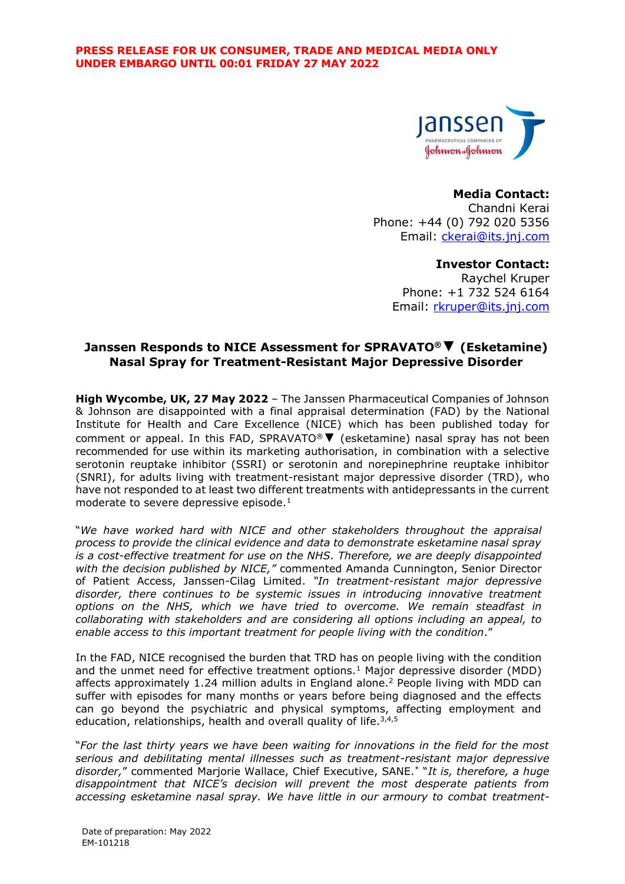

#### **Media Contact:**

Chandni Kerai Phone: +44 (0) 792 020 5356 Email: [ckerai@its.jnj.com](mailto:ckerai@its.jnj.com)

# **Investor Contact:**

Raychel Kruper Phone: +1 732 524 6164 Email: [rkruper@its.jnj.com](mailto:rkruper@its.jnj.com)

# **Janssen Responds to NICE Assessment for SPRAVATO®▼ (Esketamine) Nasal Spray for Treatment-Resistant Major Depressive Disorder**

**High Wycombe, UK, 27 May 2022** – The Janssen Pharmaceutical Companies of Johnson & Johnson are disappointed with a final appraisal determination (FAD) by the National Institute for Health and Care Excellence (NICE) which has been published today for comment or appeal. In this FAD, SPRAVATO®**▼** (esketamine) nasal spray has not been recommended for use within its marketing authorisation, in combination with a selective serotonin reuptake inhibitor (SSRI) or serotonin and norepinephrine reuptake inhibitor (SNRI), for adults living with treatment-resistant major depressive disorder (TRD), who have not responded to at least two different treatments with antidepressants in the current moderate to severe depressive episode.<sup>1</sup>

<span id="page-0-0"></span>"*We have worked hard with NICE and other stakeholders throughout the appraisal process to provide the clinical evidence and data to demonstrate esketamine nasal spray is a cost-effective treatment for use on the NHS. Therefore, we are deeply disappointed with the decision published by NICE,"* commented Amanda Cunnington, Senior Director of Patient Access, Janssen-Cilag Limited. *"In treatment-resistant major depressive disorder, there continues to be systemic issues in introducing innovative treatment options on the NHS, which we have tried to overcome. We remain steadfast in collaborating with stakeholders and are considering all options including an appeal, to enable access to this important treatment for people living with the condition*."

In the FAD, NICE recognised the burden that TRD has on people living with the condition and the unmet need for effective treatment options.<sup>[1](#page-0-0)</sup> Major depressive disorder (MDD) affects approximately 1.24 million adults in England alone.<sup>2</sup> People living with MDD can suffer with episodes for many months or years before being diagnosed and the effects can go beyond the psychiatric and physical symptoms, affecting employment and education, relationships, health and overall quality of life.<sup>3,4,5</sup>

"*For the last thirty years we have been waiting for innovations in the field for the most serious and debilitating mental illnesses such as treatment-resistant major depressive disorder,*" commented Marjorie Wallace, Chief Executive, SANE.\* "*It is, therefore, a huge disappointment that NICE's decision will prevent the most desperate patients from accessing esketamine nasal spray. We have little in our armoury to combat treatment-*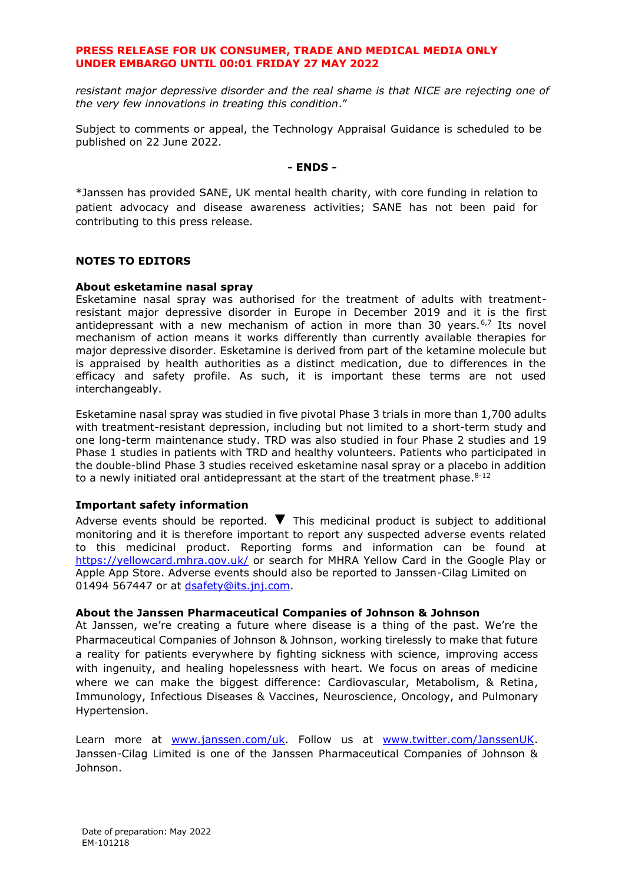# **PRESS RELEASE FOR UK CONSUMER, TRADE AND MEDICAL MEDIA ONLY UNDER EMBARGO UNTIL 00:01 FRIDAY 27 MAY 2022**

*resistant major depressive disorder and the real shame is that NICE are rejecting one of the very few innovations in treating this condition*."

Subject to comments or appeal, the Technology Appraisal Guidance is scheduled to be published on 22 June 2022.

### **- ENDS -**

\*Janssen has provided SANE, UK mental health charity, with core funding in relation to patient advocacy and disease awareness activities; SANE has not been paid for contributing to this press release.

# **NOTES TO EDITORS**

#### **About esketamine nasal spray**

Esketamine nasal spray was authorised for the treatment of adults with treatmentresistant major depressive disorder in Europe in December 2019 and it is the first antidepressant with a new mechanism of action in more than 30 years.<sup>6,7</sup> Its novel mechanism of action means it works differently than currently available therapies for major depressive disorder. Esketamine is derived from part of the ketamine molecule but is appraised by health authorities as a distinct medication, due to differences in the efficacy and safety profile. As such, it is important these terms are not used interchangeably.

Esketamine nasal spray was studied in five pivotal Phase 3 trials in more than 1,700 adults with treatment-resistant depression, including but not limited to a short-term study and one long-term maintenance study. TRD was also studied in four Phase 2 studies and 19 Phase 1 studies in patients with TRD and healthy volunteers. Patients who participated in the double-blind Phase 3 studies received esketamine nasal spray or a placebo in addition to a newly initiated oral antidepressant at the start of the treatment phase. $^{8-12}$ 

## **Important safety information**

Adverse events should be reported. **▼** This medicinal product is subject to additional monitoring and it is therefore important to report any suspected adverse events related to this medicinal product. Reporting forms and information can be found at <https://yellowcard.mhra.gov.uk/> or search for MHRA Yellow Card in the Google Play or Apple App Store. Adverse events should also be reported to Janssen-Cilag Limited on 01494 567447 or at [dsafety@its.jnj.com.](mailto:dsafety@its.jnj.com)

#### **About the Janssen Pharmaceutical Companies of Johnson & Johnson**

At Janssen, we're creating a future where disease is a thing of the past. We're the Pharmaceutical Companies of Johnson & Johnson, working tirelessly to make that future a reality for patients everywhere by fighting sickness with science, improving access with ingenuity, and healing hopelessness with heart. We focus on areas of medicine where we can make the biggest difference: Cardiovascular, Metabolism, & Retina, Immunology, Infectious Diseases & Vaccines, Neuroscience, Oncology, and Pulmonary Hypertension.

Learn more at [www.janssen.com/uk.](http://www.janssen.com/uk) Follow us at [www.twitter.com/JanssenUK.](http://www.twitter.com/JanssenUK) Janssen-Cilag Limited is one of the Janssen Pharmaceutical Companies of Johnson & Johnson.